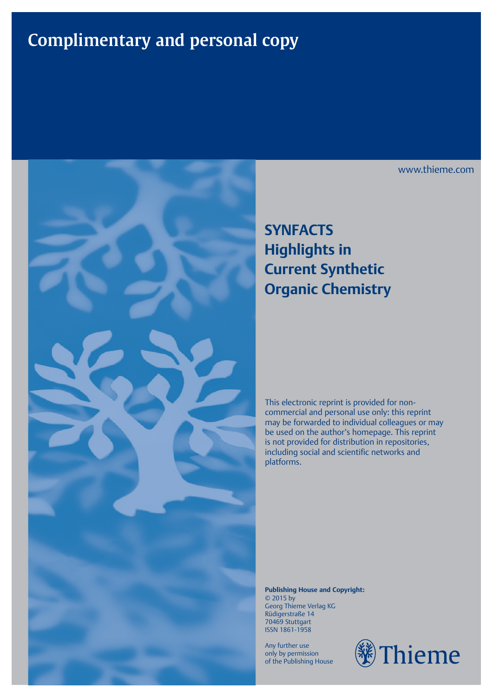## **Complimentary and personal copy**



### **SYNFACTS Highlights in Current Synthetic Organic Chemistry**

This electronic reprint is provided for noncommercial and personal use only: this reprint may be forwarded to individual colleagues or may be used on the author's homepage. This reprint is not provided for distribution in repositories, including social and scientific networks and platforms.

**Publishing House and Copyright:** © 2015 by Georg Thieme Verlag KG Rüdigerstraße 14 70469 Stuttgart ISSN 1861-1958

Any further use only by permission of the Publishing House



www.thieme.com